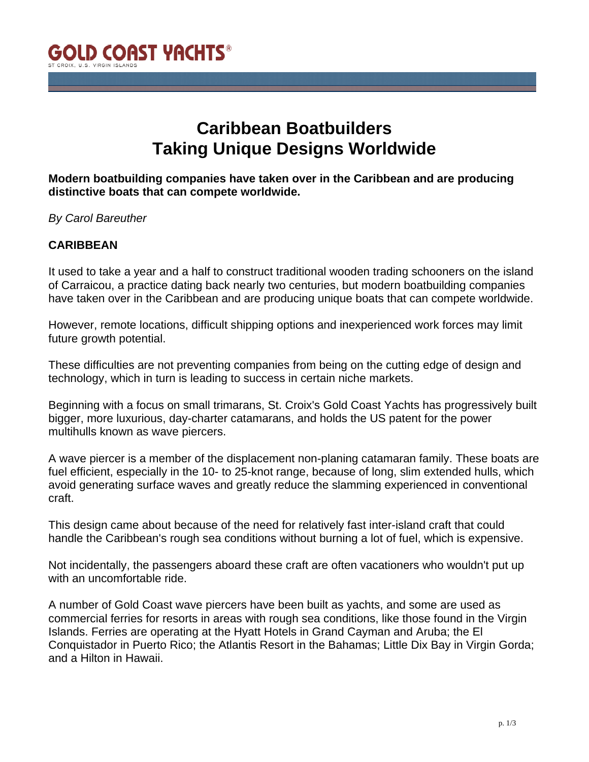

# **Caribbean Boatbuilders Taking Unique Designs Worldwide**

**Modern boatbuilding companies have taken over in the Caribbean and are producing distinctive boats that can compete worldwide.**

*By Carol Bareuther*

## **CARIBBEAN**

It used to take a year and a half to construct traditional wooden trading schooners on the island of Carraicou, a practice dating back nearly two centuries, but modern boatbuilding companies have taken over in the Caribbean and are producing unique boats that can compete worldwide.

However, remote locations, difficult shipping options and inexperienced work forces may limit future growth potential.

These difficulties are not preventing companies from being on the cutting edge of design and technology, which in turn is leading to success in certain niche markets.

Beginning with a focus on small trimarans, St. Croix's Gold Coast Yachts has progressively built bigger, more luxurious, day-charter catamarans, and holds the US patent for the power multihulls known as wave piercers.

A wave piercer is a member of the displacement non-planing catamaran family. These boats are fuel efficient, especially in the 10- to 25-knot range, because of long, slim extended hulls, which avoid generating surface waves and greatly reduce the slamming experienced in conventional craft.

This design came about because of the need for relatively fast inter-island craft that could handle the Caribbean's rough sea conditions without burning a lot of fuel, which is expensive.

Not incidentally, the passengers aboard these craft are often vacationers who wouldn't put up with an uncomfortable ride.

A number of Gold Coast wave piercers have been built as yachts, and some are used as commercial ferries for resorts in areas with rough sea conditions, like those found in the Virgin Islands. Ferries are operating at the Hyatt Hotels in Grand Cayman and Aruba; the El Conquistador in Puerto Rico; the Atlantis Resort in the Bahamas; Little Dix Bay in Virgin Gorda; and a Hilton in Hawaii.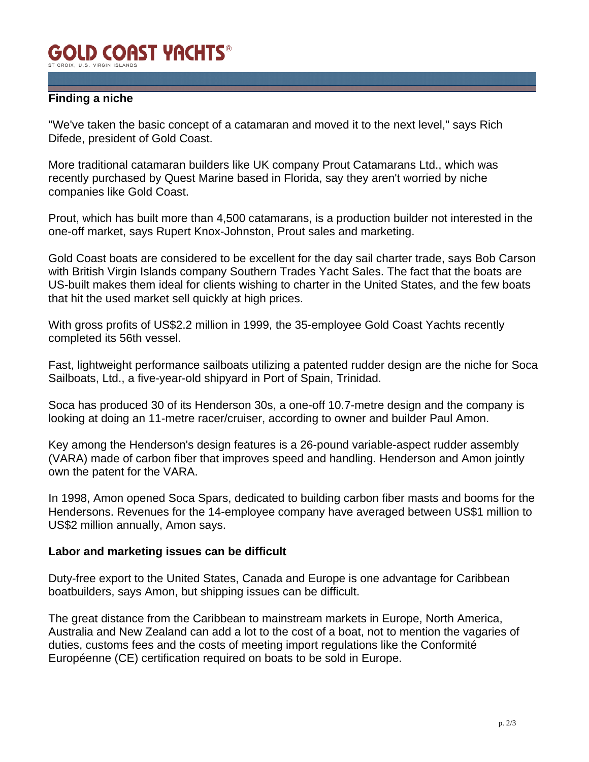#### **GOLD COAST YACHTS®** ST CROIX II S VIRGIN ISLAN

## **Finding a niche**

"We've taken the basic concept of a catamaran and moved it to the next level," says Rich Difede, president of Gold Coast.

More traditional catamaran builders like UK company Prout Catamarans Ltd., which was recently purchased by Quest Marine based in Florida, say they aren't worried by niche companies like Gold Coast.

Prout, which has built more than 4,500 catamarans, is a production builder not interested in the one-off market, says Rupert Knox-Johnston, Prout sales and marketing.

Gold Coast boats are considered to be excellent for the day sail charter trade, says Bob Carson with British Virgin Islands company Southern Trades Yacht Sales. The fact that the boats are US-built makes them ideal for clients wishing to charter in the United States, and the few boats that hit the used market sell quickly at high prices.

With gross profits of US\$2.2 million in 1999, the 35-employee Gold Coast Yachts recently completed its 56th vessel.

Fast, lightweight performance sailboats utilizing a patented rudder design are the niche for Soca Sailboats, Ltd., a five-year-old shipyard in Port of Spain, Trinidad.

Soca has produced 30 of its Henderson 30s, a one-off 10.7-metre design and the company is looking at doing an 11-metre racer/cruiser, according to owner and builder Paul Amon.

Key among the Henderson's design features is a 26-pound variable-aspect rudder assembly (VARA) made of carbon fiber that improves speed and handling. Henderson and Amon jointly own the patent for the VARA.

In 1998, Amon opened Soca Spars, dedicated to building carbon fiber masts and booms for the Hendersons. Revenues for the 14-employee company have averaged between US\$1 million to US\$2 million annually, Amon says.

#### **Labor and marketing issues can be difficult**

Duty-free export to the United States, Canada and Europe is one advantage for Caribbean boatbuilders, says Amon, but shipping issues can be difficult.

The great distance from the Caribbean to mainstream markets in Europe, North America, Australia and New Zealand can add a lot to the cost of a boat, not to mention the vagaries of duties, customs fees and the costs of meeting import regulations like the Conformité Européenne (CE) certification required on boats to be sold in Europe.